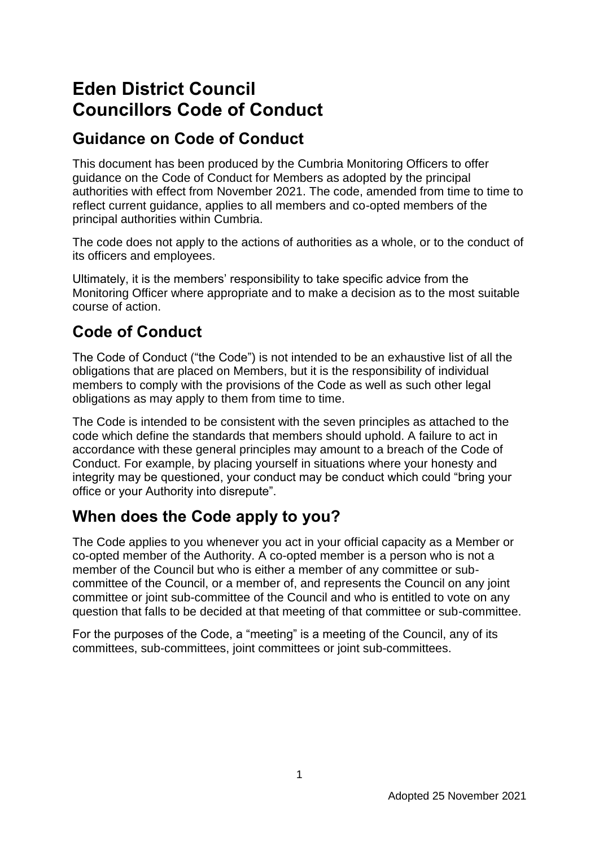# **Eden District Council Councillors Code of Conduct**

# **Guidance on Code of Conduct**

This document has been produced by the Cumbria Monitoring Officers to offer guidance on the Code of Conduct for Members as adopted by the principal authorities with effect from November 2021. The code, amended from time to time to reflect current guidance, applies to all members and co-opted members of the principal authorities within Cumbria.

The code does not apply to the actions of authorities as a whole, or to the conduct of its officers and employees.

Ultimately, it is the members' responsibility to take specific advice from the Monitoring Officer where appropriate and to make a decision as to the most suitable course of action.

# **Code of Conduct**

The Code of Conduct ("the Code") is not intended to be an exhaustive list of all the obligations that are placed on Members, but it is the responsibility of individual members to comply with the provisions of the Code as well as such other legal obligations as may apply to them from time to time.

The Code is intended to be consistent with the seven principles as attached to the code which define the standards that members should uphold. A failure to act in accordance with these general principles may amount to a breach of the Code of Conduct. For example, by placing yourself in situations where your honesty and integrity may be questioned, your conduct may be conduct which could "bring your office or your Authority into disrepute".

# **When does the Code apply to you?**

The Code applies to you whenever you act in your official capacity as a Member or co-opted member of the Authority. A co-opted member is a person who is not a member of the Council but who is either a member of any committee or subcommittee of the Council, or a member of, and represents the Council on any joint committee or joint sub-committee of the Council and who is entitled to vote on any question that falls to be decided at that meeting of that committee or sub-committee.

For the purposes of the Code, a "meeting" is a meeting of the Council, any of its committees, sub-committees, joint committees or joint sub-committees.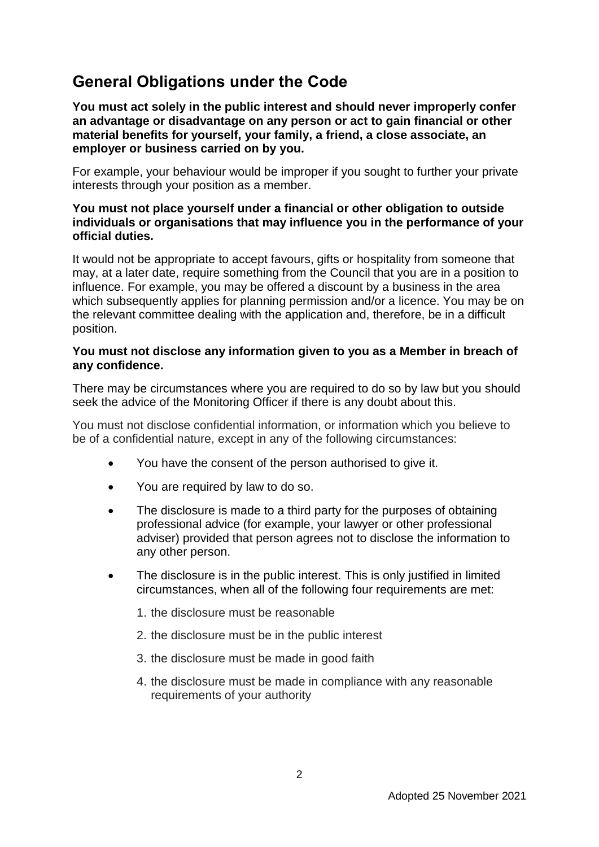# **General Obligations under the Code**

**You must act solely in the public interest and should never improperly confer an advantage or disadvantage on any person or act to gain financial or other material benefits for yourself, your family, a friend, a close associate, an employer or business carried on by you.**

For example, your behaviour would be improper if you sought to further your private interests through your position as a member.

### **You must not place yourself under a financial or other obligation to outside individuals or organisations that may influence you in the performance of your official duties.**

It would not be appropriate to accept favours, gifts or hospitality from someone that may, at a later date, require something from the Council that you are in a position to influence. For example, you may be offered a discount by a business in the area which subsequently applies for planning permission and/or a licence. You may be on the relevant committee dealing with the application and, therefore, be in a difficult position.

### **You must not disclose any information given to you as a Member in breach of any confidence.**

There may be circumstances where you are required to do so by law but you should seek the advice of the Monitoring Officer if there is any doubt about this.

You must not disclose confidential information, or information which you believe to be of a confidential nature, except in any of the following circumstances:

- You have the consent of the person authorised to give it.
- You are required by law to do so.
- The disclosure is made to a third party for the purposes of obtaining professional advice (for example, your lawyer or other professional adviser) provided that person agrees not to disclose the information to any other person.
- The disclosure is in the public interest. This is only justified in limited circumstances, when all of the following four requirements are met:
	- 1. the disclosure must be reasonable
	- 2. the disclosure must be in the public interest
	- 3. the disclosure must be made in good faith
	- 4. the disclosure must be made in compliance with any reasonable requirements of your authority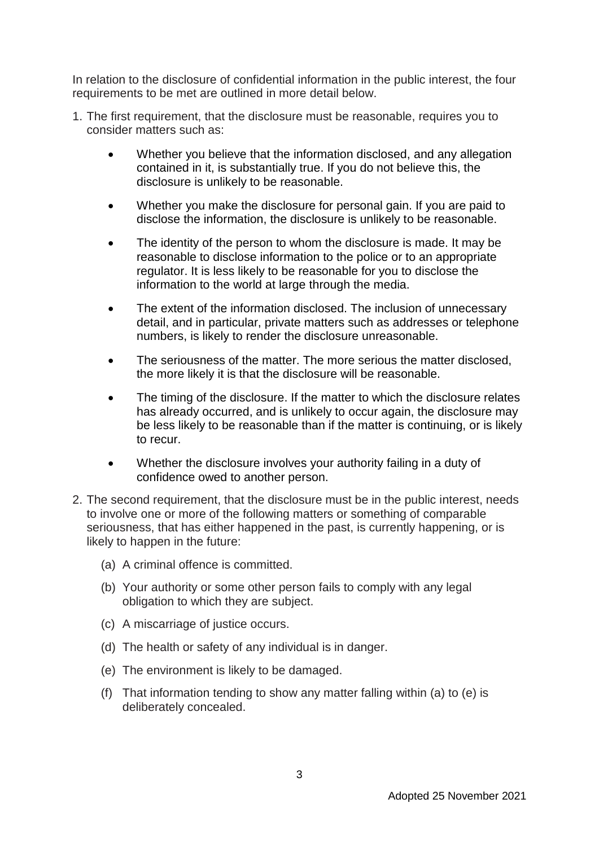In relation to the disclosure of confidential information in the public interest, the four requirements to be met are outlined in more detail below.

- 1. The first requirement, that the disclosure must be reasonable, requires you to consider matters such as:
	- Whether you believe that the information disclosed, and any allegation contained in it, is substantially true. If you do not believe this, the disclosure is unlikely to be reasonable.
	- Whether you make the disclosure for personal gain. If you are paid to disclose the information, the disclosure is unlikely to be reasonable.
	- The identity of the person to whom the disclosure is made. It may be reasonable to disclose information to the police or to an appropriate regulator. It is less likely to be reasonable for you to disclose the information to the world at large through the media.
	- The extent of the information disclosed. The inclusion of unnecessary detail, and in particular, private matters such as addresses or telephone numbers, is likely to render the disclosure unreasonable.
	- The seriousness of the matter. The more serious the matter disclosed, the more likely it is that the disclosure will be reasonable.
	- The timing of the disclosure. If the matter to which the disclosure relates has already occurred, and is unlikely to occur again, the disclosure may be less likely to be reasonable than if the matter is continuing, or is likely to recur.
	- Whether the disclosure involves your authority failing in a duty of confidence owed to another person.
- 2. The second requirement, that the disclosure must be in the public interest, needs to involve one or more of the following matters or something of comparable seriousness, that has either happened in the past, is currently happening, or is likely to happen in the future:
	- (a) A criminal offence is committed.
	- (b) Your authority or some other person fails to comply with any legal obligation to which they are subject.
	- (c) A miscarriage of justice occurs.
	- (d) The health or safety of any individual is in danger.
	- (e) The environment is likely to be damaged.
	- (f) That information tending to show any matter falling within (a) to (e) is deliberately concealed.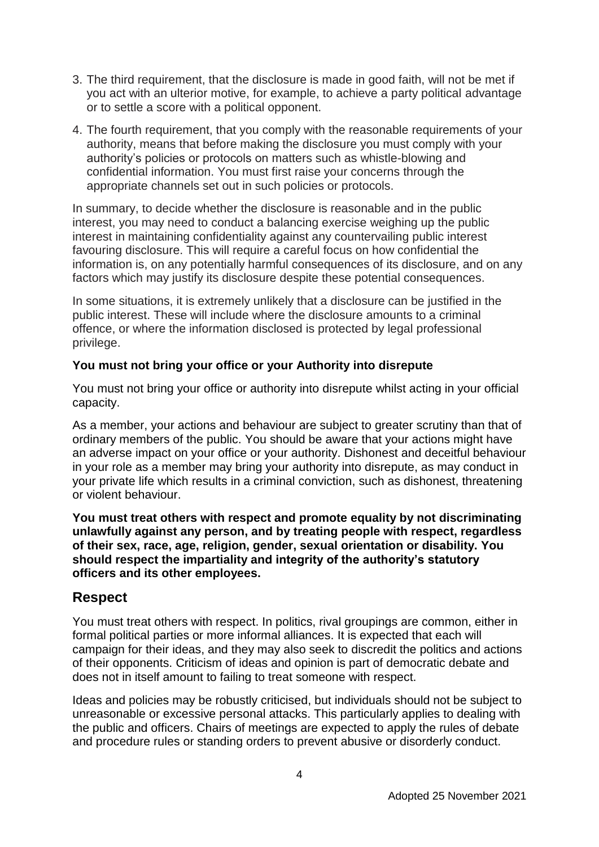- 3. The third requirement, that the disclosure is made in good faith, will not be met if you act with an ulterior motive, for example, to achieve a party political advantage or to settle a score with a political opponent.
- 4. The fourth requirement, that you comply with the reasonable requirements of your authority, means that before making the disclosure you must comply with your authority's policies or protocols on matters such as whistle-blowing and confidential information. You must first raise your concerns through the appropriate channels set out in such policies or protocols.

In summary, to decide whether the disclosure is reasonable and in the public interest, you may need to conduct a balancing exercise weighing up the public interest in maintaining confidentiality against any countervailing public interest favouring disclosure. This will require a careful focus on how confidential the information is, on any potentially harmful consequences of its disclosure, and on any factors which may justify its disclosure despite these potential consequences.

In some situations, it is extremely unlikely that a disclosure can be justified in the public interest. These will include where the disclosure amounts to a criminal offence, or where the information disclosed is protected by legal professional privilege.

### **You must not bring your office or your Authority into disrepute**

You must not bring your office or authority into disrepute whilst acting in your official capacity.

As a member, your actions and behaviour are subject to greater scrutiny than that of ordinary members of the public. You should be aware that your actions might have an adverse impact on your office or your authority. Dishonest and deceitful behaviour in your role as a member may bring your authority into disrepute, as may conduct in your private life which results in a criminal conviction, such as dishonest, threatening or violent behaviour.

**You must treat others with respect and promote equality by not discriminating unlawfully against any person, and by treating people with respect, regardless of their sex, race, age, religion, gender, sexual orientation or disability. You should respect the impartiality and integrity of the authority's statutory officers and its other employees.**

### **Respect**

You must treat others with respect. In politics, rival groupings are common, either in formal political parties or more informal alliances. It is expected that each will campaign for their ideas, and they may also seek to discredit the politics and actions of their opponents. Criticism of ideas and opinion is part of democratic debate and does not in itself amount to failing to treat someone with respect.

Ideas and policies may be robustly criticised, but individuals should not be subject to unreasonable or excessive personal attacks. This particularly applies to dealing with the public and officers. Chairs of meetings are expected to apply the rules of debate and procedure rules or standing orders to prevent abusive or disorderly conduct.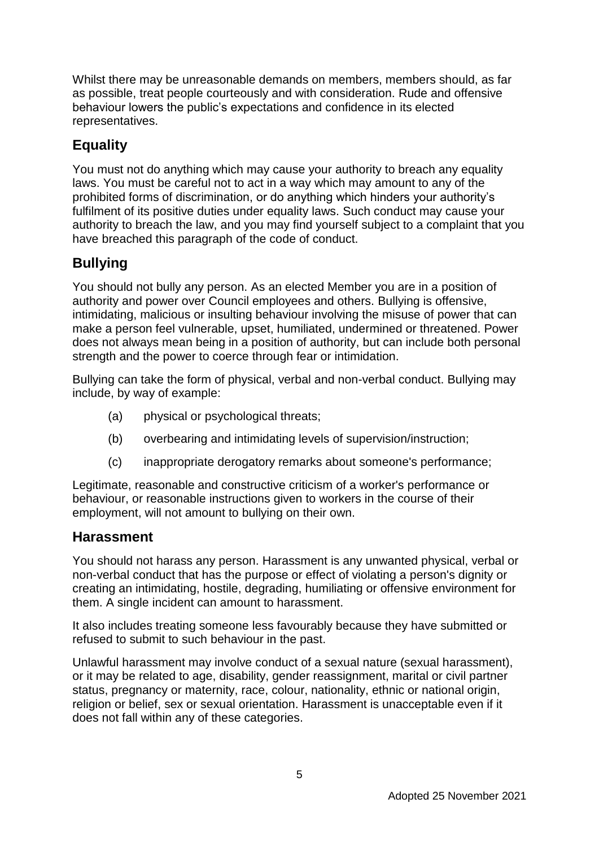Whilst there may be unreasonable demands on members, members should, as far as possible, treat people courteously and with consideration. Rude and offensive behaviour lowers the public's expectations and confidence in its elected representatives.

# **Equality**

You must not do anything which may cause your authority to breach any equality laws. You must be careful not to act in a way which may amount to any of the prohibited forms of discrimination, or do anything which hinders your authority's fulfilment of its positive duties under equality laws. Such conduct may cause your authority to breach the law, and you may find yourself subject to a complaint that you have breached this paragraph of the code of conduct.

# **Bullying**

You should not bully any person. As an elected Member you are in a position of authority and power over Council employees and others. Bullying is offensive, intimidating, malicious or insulting behaviour involving the misuse of power that can make a person feel vulnerable, upset, humiliated, undermined or threatened. Power does not always mean being in a position of authority, but can include both personal strength and the power to coerce through fear or intimidation.

Bullying can take the form of physical, verbal and non-verbal conduct. Bullying may include, by way of example:

- (a) physical or psychological threats;
- (b) overbearing and intimidating levels of supervision/instruction;
- (c) inappropriate derogatory remarks about someone's performance;

Legitimate, reasonable and constructive criticism of a worker's performance or behaviour, or reasonable instructions given to workers in the course of their employment, will not amount to bullying on their own.

### **Harassment**

You should not harass any person. Harassment is any unwanted physical, verbal or non-verbal conduct that has the purpose or effect of violating a person's dignity or creating an intimidating, hostile, degrading, humiliating or offensive environment for them. A single incident can amount to harassment.

It also includes treating someone less favourably because they have submitted or refused to submit to such behaviour in the past.

Unlawful harassment may involve conduct of a sexual nature (sexual harassment), or it may be related to age, disability, gender reassignment, marital or civil partner status, pregnancy or maternity, race, colour, nationality, ethnic or national origin, religion or belief, sex or sexual orientation. Harassment is unacceptable even if it does not fall within any of these categories.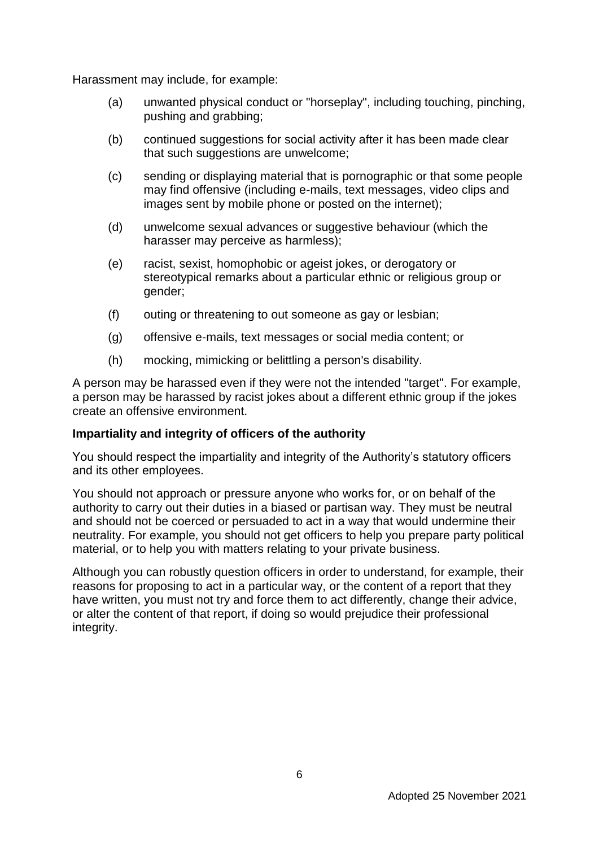Harassment may include, for example:

- (a) unwanted physical conduct or "horseplay", including touching, pinching, pushing and grabbing;
- (b) continued suggestions for social activity after it has been made clear that such suggestions are unwelcome;
- (c) sending or displaying material that is pornographic or that some people may find offensive (including e-mails, text messages, video clips and images sent by mobile phone or posted on the internet);
- (d) unwelcome sexual advances or suggestive behaviour (which the harasser may perceive as harmless);
- (e) racist, sexist, homophobic or ageist jokes, or derogatory or stereotypical remarks about a particular ethnic or religious group or gender;
- (f) outing or threatening to out someone as gay or lesbian;
- (g) offensive e-mails, text messages or social media content; or
- (h) mocking, mimicking or belittling a person's disability.

A person may be harassed even if they were not the intended "target". For example, a person may be harassed by racist jokes about a different ethnic group if the jokes create an offensive environment.

### **Impartiality and integrity of officers of the authority**

You should respect the impartiality and integrity of the Authority's statutory officers and its other employees.

You should not approach or pressure anyone who works for, or on behalf of the authority to carry out their duties in a biased or partisan way. They must be neutral and should not be coerced or persuaded to act in a way that would undermine their neutrality. For example, you should not get officers to help you prepare party political material, or to help you with matters relating to your private business.

Although you can robustly question officers in order to understand, for example, their reasons for proposing to act in a particular way, or the content of a report that they have written, you must not try and force them to act differently, change their advice, or alter the content of that report, if doing so would prejudice their professional integrity.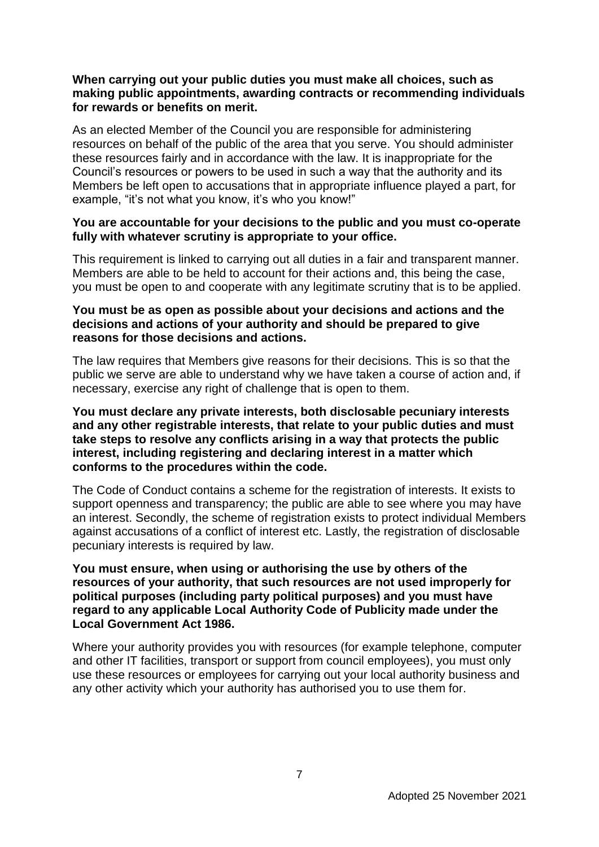### **When carrying out your public duties you must make all choices, such as making public appointments, awarding contracts or recommending individuals for rewards or benefits on merit.**

As an elected Member of the Council you are responsible for administering resources on behalf of the public of the area that you serve. You should administer these resources fairly and in accordance with the law. It is inappropriate for the Council's resources or powers to be used in such a way that the authority and its Members be left open to accusations that in appropriate influence played a part, for example, "it's not what you know, it's who you know!"

### **You are accountable for your decisions to the public and you must co-operate fully with whatever scrutiny is appropriate to your office.**

This requirement is linked to carrying out all duties in a fair and transparent manner. Members are able to be held to account for their actions and, this being the case, you must be open to and cooperate with any legitimate scrutiny that is to be applied.

### **You must be as open as possible about your decisions and actions and the decisions and actions of your authority and should be prepared to give reasons for those decisions and actions.**

The law requires that Members give reasons for their decisions. This is so that the public we serve are able to understand why we have taken a course of action and, if necessary, exercise any right of challenge that is open to them.

#### **You must declare any private interests, both disclosable pecuniary interests and any other registrable interests, that relate to your public duties and must take steps to resolve any conflicts arising in a way that protects the public interest, including registering and declaring interest in a matter which conforms to the procedures within the code.**

The Code of Conduct contains a scheme for the registration of interests. It exists to support openness and transparency; the public are able to see where you may have an interest. Secondly, the scheme of registration exists to protect individual Members against accusations of a conflict of interest etc. Lastly, the registration of disclosable pecuniary interests is required by law.

### **You must ensure, when using or authorising the use by others of the resources of your authority, that such resources are not used improperly for political purposes (including party political purposes) and you must have regard to any applicable Local Authority Code of Publicity made under the Local Government Act 1986.**

Where your authority provides you with resources (for example telephone, computer and other IT facilities, transport or support from council employees), you must only use these resources or employees for carrying out your local authority business and any other activity which your authority has authorised you to use them for.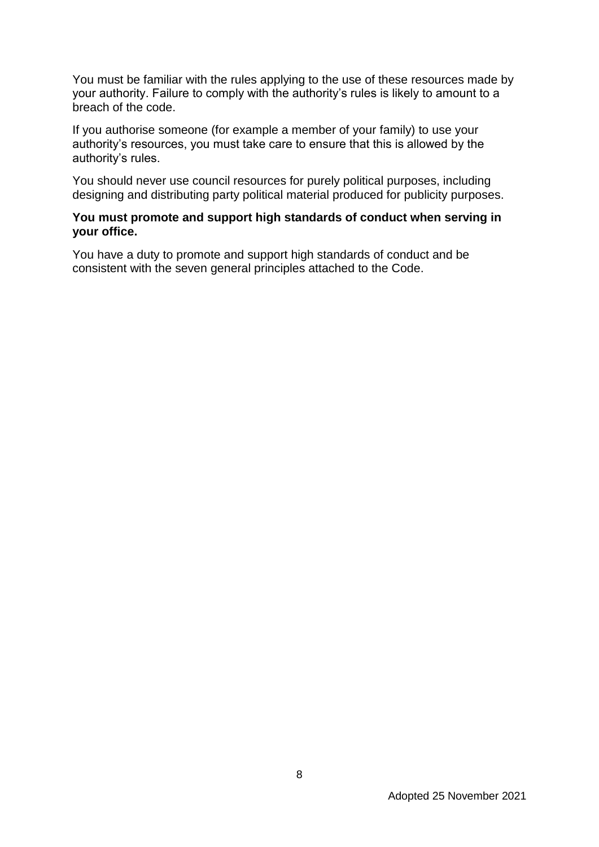You must be familiar with the rules applying to the use of these resources made by your authority. Failure to comply with the authority's rules is likely to amount to a breach of the code.

If you authorise someone (for example a member of your family) to use your authority's resources, you must take care to ensure that this is allowed by the authority's rules.

You should never use council resources for purely political purposes, including designing and distributing party political material produced for publicity purposes.

### **You must promote and support high standards of conduct when serving in your office.**

You have a duty to promote and support high standards of conduct and be consistent with the seven general principles attached to the Code.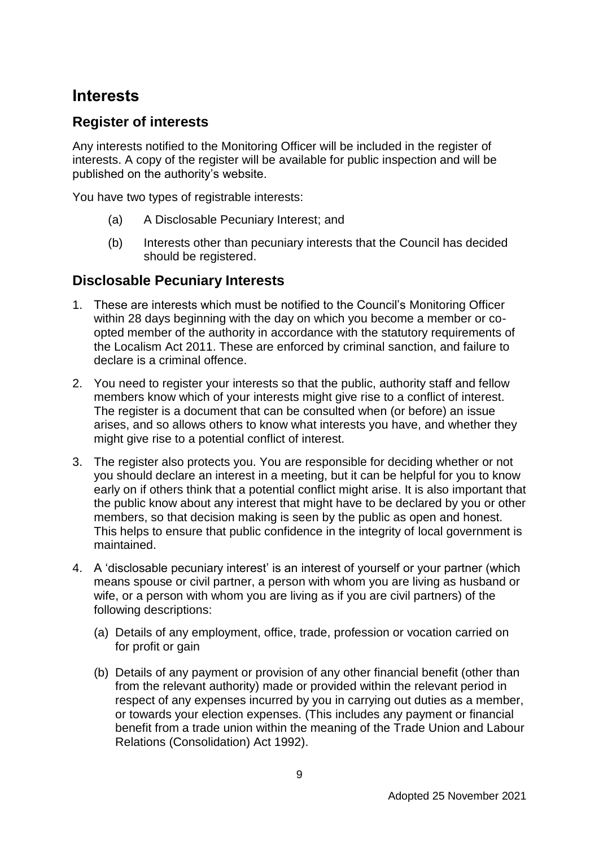# **Interests**

## **Register of interests**

Any interests notified to the Monitoring Officer will be included in the register of interests. A copy of the register will be available for public inspection and will be published on the authority's website.

You have two types of registrable interests:

- (a) A Disclosable Pecuniary Interest; and
- (b) Interests other than pecuniary interests that the Council has decided should be registered.

### **Disclosable Pecuniary Interests**

- 1. These are interests which must be notified to the Council's Monitoring Officer within 28 days beginning with the day on which you become a member or coopted member of the authority in accordance with the statutory requirements of the Localism Act 2011. These are enforced by criminal sanction, and failure to declare is a criminal offence.
- 2. You need to register your interests so that the public, authority staff and fellow members know which of your interests might give rise to a conflict of interest. The register is a document that can be consulted when (or before) an issue arises, and so allows others to know what interests you have, and whether they might give rise to a potential conflict of interest.
- 3. The register also protects you. You are responsible for deciding whether or not you should declare an interest in a meeting, but it can be helpful for you to know early on if others think that a potential conflict might arise. It is also important that the public know about any interest that might have to be declared by you or other members, so that decision making is seen by the public as open and honest. This helps to ensure that public confidence in the integrity of local government is maintained.
- 4. A 'disclosable pecuniary interest' is an interest of yourself or your partner (which means spouse or civil partner, a person with whom you are living as husband or wife, or a person with whom you are living as if you are civil partners) of the following descriptions:
	- (a) Details of any employment, office, trade, profession or vocation carried on for profit or gain
	- (b) Details of any payment or provision of any other financial benefit (other than from the relevant authority) made or provided within the relevant period in respect of any expenses incurred by you in carrying out duties as a member, or towards your election expenses. (This includes any payment or financial benefit from a trade union within the meaning of the Trade Union and Labour Relations (Consolidation) Act 1992).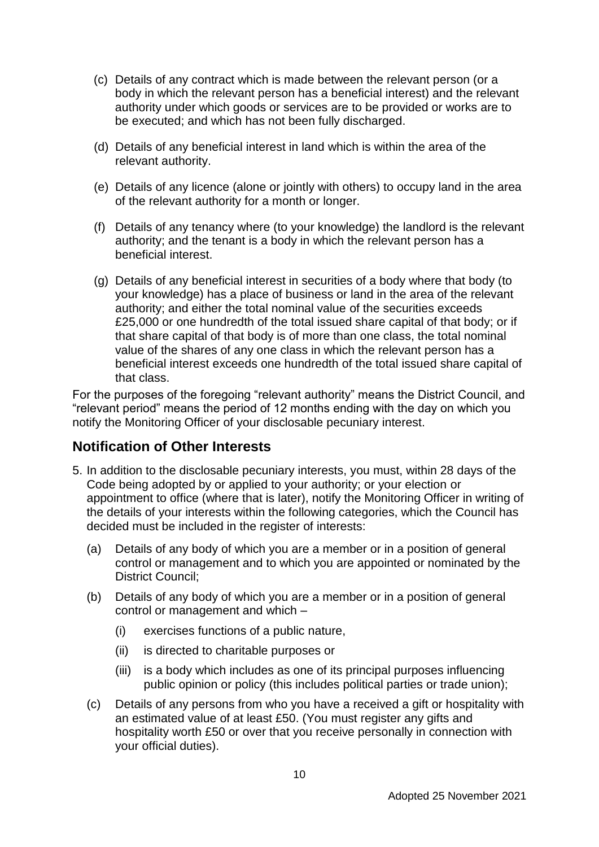- (c) Details of any contract which is made between the relevant person (or a body in which the relevant person has a beneficial interest) and the relevant authority under which goods or services are to be provided or works are to be executed; and which has not been fully discharged.
- (d) Details of any beneficial interest in land which is within the area of the relevant authority.
- (e) Details of any licence (alone or jointly with others) to occupy land in the area of the relevant authority for a month or longer.
- (f) Details of any tenancy where (to your knowledge) the landlord is the relevant authority; and the tenant is a body in which the relevant person has a beneficial interest.
- (g) Details of any beneficial interest in securities of a body where that body (to your knowledge) has a place of business or land in the area of the relevant authority; and either the total nominal value of the securities exceeds £25,000 or one hundredth of the total issued share capital of that body; or if that share capital of that body is of more than one class, the total nominal value of the shares of any one class in which the relevant person has a beneficial interest exceeds one hundredth of the total issued share capital of that class.

For the purposes of the foregoing "relevant authority" means the District Council, and "relevant period" means the period of 12 months ending with the day on which you notify the Monitoring Officer of your disclosable pecuniary interest.

## **Notification of Other Interests**

- 5. In addition to the disclosable pecuniary interests, you must, within 28 days of the Code being adopted by or applied to your authority; or your election or appointment to office (where that is later), notify the Monitoring Officer in writing of the details of your interests within the following categories, which the Council has decided must be included in the register of interests:
	- (a) Details of any body of which you are a member or in a position of general control or management and to which you are appointed or nominated by the District Council;
	- (b) Details of any body of which you are a member or in a position of general control or management and which –
		- (i) exercises functions of a public nature,
		- (ii) is directed to charitable purposes or
		- (iii) is a body which includes as one of its principal purposes influencing public opinion or policy (this includes political parties or trade union);
	- (c) Details of any persons from who you have a received a gift or hospitality with an estimated value of at least £50. (You must register any gifts and hospitality worth £50 or over that you receive personally in connection with your official duties).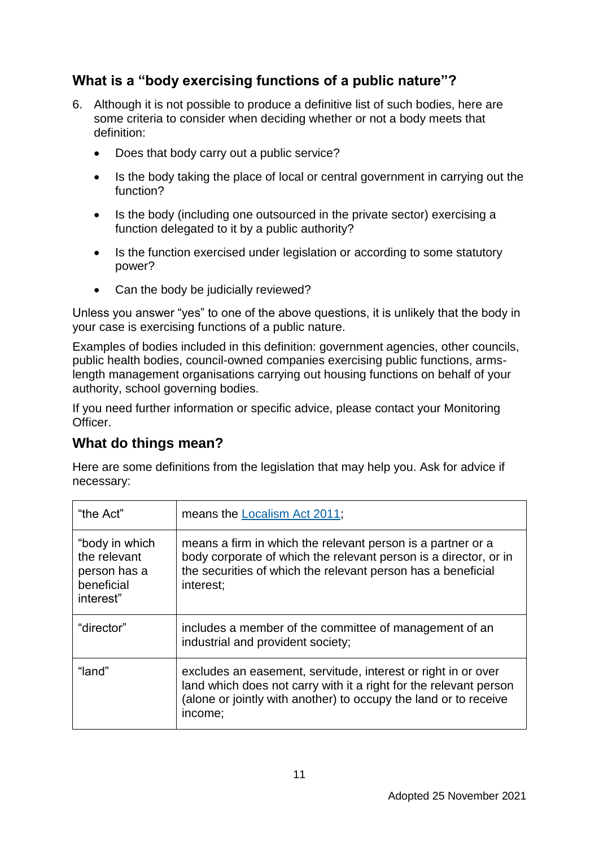# **What is a "body exercising functions of a public nature"?**

- 6. Although it is not possible to produce a definitive list of such bodies, here are some criteria to consider when deciding whether or not a body meets that definition:
	- Does that body carry out a public service?
	- Is the body taking the place of local or central government in carrying out the function?
	- Is the body (including one outsourced in the private sector) exercising a function delegated to it by a public authority?
	- Is the function exercised under legislation or according to some statutory power?
	- Can the body be judicially reviewed?

Unless you answer "yes" to one of the above questions, it is unlikely that the body in your case is exercising functions of a public nature.

Examples of bodies included in this definition: government agencies, other councils, public health bodies, council-owned companies exercising public functions, armslength management organisations carrying out housing functions on behalf of your authority, school governing bodies.

If you need further information or specific advice, please contact your Monitoring Officer.

## **What do things mean?**

Here are some definitions from the legislation that may help you. Ask for advice if necessary:

| "the Act"                                                                 | means the Localism Act 2011;                                                                                                                                                                                      |  |
|---------------------------------------------------------------------------|-------------------------------------------------------------------------------------------------------------------------------------------------------------------------------------------------------------------|--|
| "body in which<br>the relevant<br>person has a<br>beneficial<br>interest" | means a firm in which the relevant person is a partner or a<br>body corporate of which the relevant person is a director, or in<br>the securities of which the relevant person has a beneficial<br>interest;      |  |
| "director"                                                                | includes a member of the committee of management of an<br>industrial and provident society;                                                                                                                       |  |
| "land"                                                                    | excludes an easement, servitude, interest or right in or over<br>land which does not carry with it a right for the relevant person<br>(alone or jointly with another) to occupy the land or to receive<br>income; |  |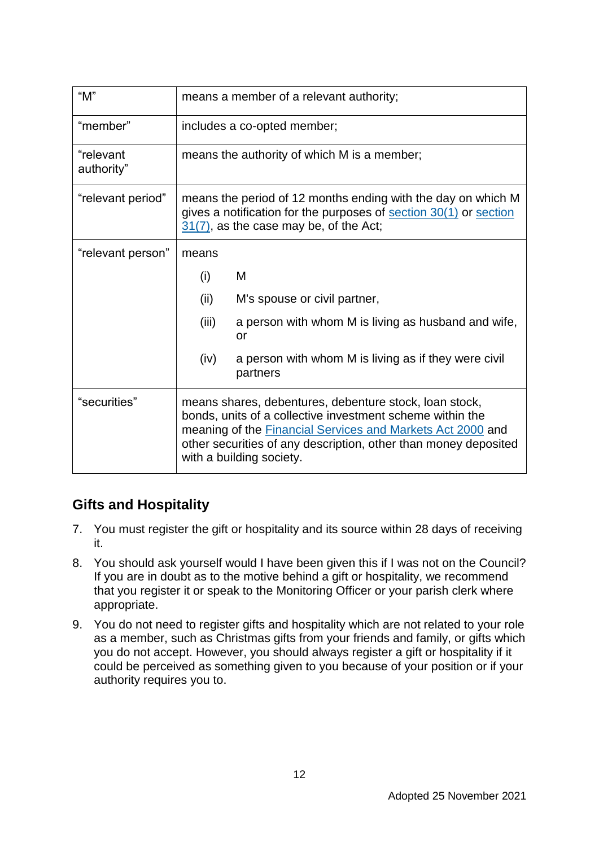| "M"                     | means a member of a relevant authority;                                                                                                                                                                                                                                                 |                                                                  |  |
|-------------------------|-----------------------------------------------------------------------------------------------------------------------------------------------------------------------------------------------------------------------------------------------------------------------------------------|------------------------------------------------------------------|--|
| "member"                | includes a co-opted member;                                                                                                                                                                                                                                                             |                                                                  |  |
| "relevant<br>authority" | means the authority of which M is a member;                                                                                                                                                                                                                                             |                                                                  |  |
| "relevant period"       | means the period of 12 months ending with the day on which M<br>gives a notification for the purposes of section 30(1) or section<br>$31(7)$ , as the case may be, of the Act;                                                                                                          |                                                                  |  |
| "relevant person"       | means                                                                                                                                                                                                                                                                                   |                                                                  |  |
|                         | (i)                                                                                                                                                                                                                                                                                     | M                                                                |  |
|                         | (ii)                                                                                                                                                                                                                                                                                    | M's spouse or civil partner,                                     |  |
|                         | (iii)                                                                                                                                                                                                                                                                                   | a person with whom M is living as husband and wife,<br>or        |  |
|                         | (iv)                                                                                                                                                                                                                                                                                    | a person with whom M is living as if they were civil<br>partners |  |
| "securities"            | means shares, debentures, debenture stock, loan stock,<br>bonds, units of a collective investment scheme within the<br>meaning of the <b>Financial Services and Markets Act 2000</b> and<br>other securities of any description, other than money deposited<br>with a building society. |                                                                  |  |

# **Gifts and Hospitality**

- 7. You must register the gift or hospitality and its source within 28 days of receiving it.
- 8. You should ask yourself would I have been given this if I was not on the Council? If you are in doubt as to the motive behind a gift or hospitality, we recommend that you register it or speak to the Monitoring Officer or your parish clerk where appropriate.
- 9. You do not need to register gifts and hospitality which are not related to your role as a member, such as Christmas gifts from your friends and family, or gifts which you do not accept. However, you should always register a gift or hospitality if it could be perceived as something given to you because of your position or if your authority requires you to.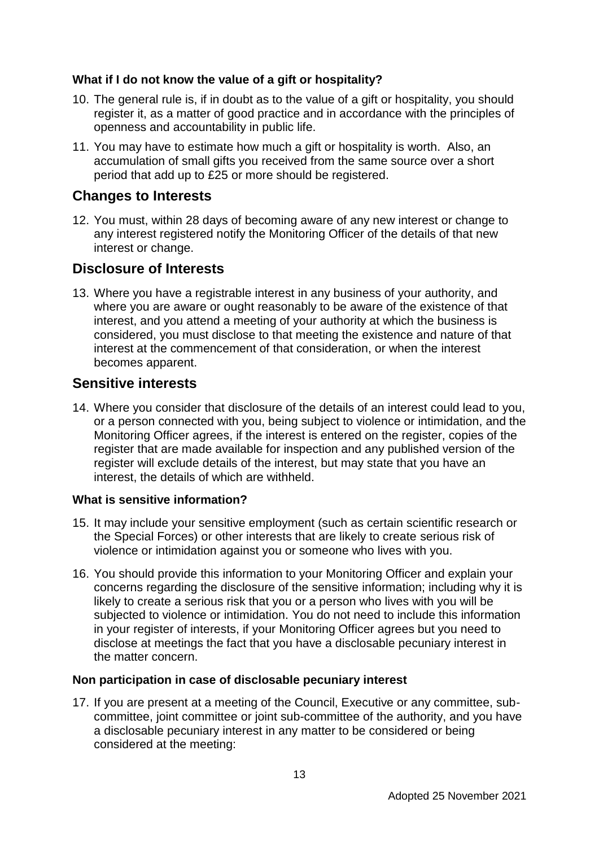### **What if I do not know the value of a gift or hospitality?**

- 10. The general rule is, if in doubt as to the value of a gift or hospitality, you should register it, as a matter of good practice and in accordance with the principles of openness and accountability in public life.
- 11. You may have to estimate how much a gift or hospitality is worth. Also, an accumulation of small gifts you received from the same source over a short period that add up to £25 or more should be registered.

### **Changes to Interests**

12. You must, within 28 days of becoming aware of any new interest or change to any interest registered notify the Monitoring Officer of the details of that new interest or change.

### **Disclosure of Interests**

13. Where you have a registrable interest in any business of your authority, and where you are aware or ought reasonably to be aware of the existence of that interest, and you attend a meeting of your authority at which the business is considered, you must disclose to that meeting the existence and nature of that interest at the commencement of that consideration, or when the interest becomes apparent.

### **Sensitive interests**

14. Where you consider that disclosure of the details of an interest could lead to you, or a person connected with you, being subject to violence or intimidation, and the Monitoring Officer agrees, if the interest is entered on the register, copies of the register that are made available for inspection and any published version of the register will exclude details of the interest, but may state that you have an interest, the details of which are withheld.

### **What is sensitive information?**

- 15. It may include your sensitive employment (such as certain scientific research or the Special Forces) or other interests that are likely to create serious risk of violence or intimidation against you or someone who lives with you.
- 16. You should provide this information to your Monitoring Officer and explain your concerns regarding the disclosure of the sensitive information; including why it is likely to create a serious risk that you or a person who lives with you will be subjected to violence or intimidation. You do not need to include this information in your register of interests, if your Monitoring Officer agrees but you need to disclose at meetings the fact that you have a disclosable pecuniary interest in the matter concern.

### **Non participation in case of disclosable pecuniary interest**

17. If you are present at a meeting of the Council, Executive or any committee, subcommittee, joint committee or joint sub-committee of the authority, and you have a disclosable pecuniary interest in any matter to be considered or being considered at the meeting: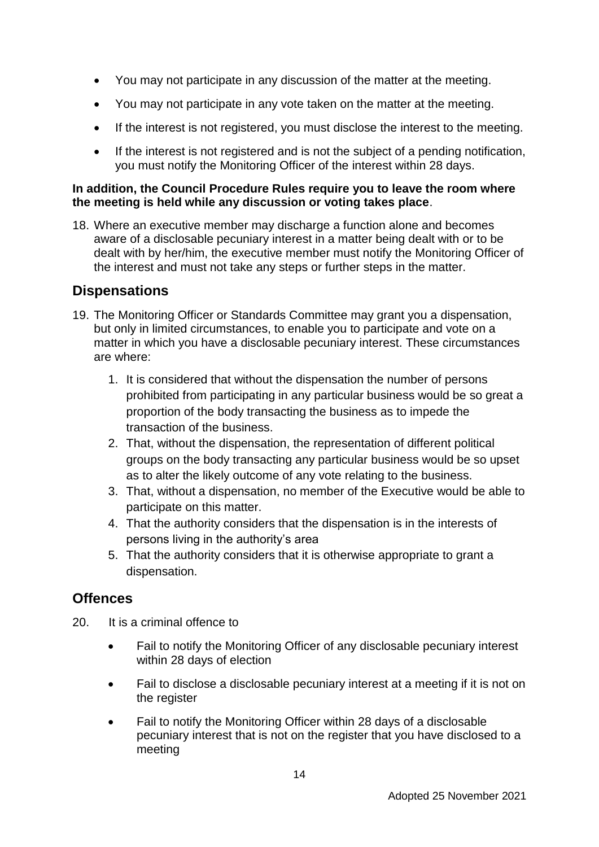- You may not participate in any discussion of the matter at the meeting.
- You may not participate in any vote taken on the matter at the meeting.
- If the interest is not registered, you must disclose the interest to the meeting.
- If the interest is not registered and is not the subject of a pending notification, you must notify the Monitoring Officer of the interest within 28 days.

### **In addition, the Council Procedure Rules require you to leave the room where the meeting is held while any discussion or voting takes place**.

18. Where an executive member may discharge a function alone and becomes aware of a disclosable pecuniary interest in a matter being dealt with or to be dealt with by her/him, the executive member must notify the Monitoring Officer of the interest and must not take any steps or further steps in the matter.

## **Dispensations**

- 19. The Monitoring Officer or Standards Committee may grant you a dispensation, but only in limited circumstances, to enable you to participate and vote on a matter in which you have a disclosable pecuniary interest. These circumstances are where:
	- 1. It is considered that without the dispensation the number of persons prohibited from participating in any particular business would be so great a proportion of the body transacting the business as to impede the transaction of the business.
	- 2. That, without the dispensation, the representation of different political groups on the body transacting any particular business would be so upset as to alter the likely outcome of any vote relating to the business.
	- 3. That, without a dispensation, no member of the Executive would be able to participate on this matter.
	- 4. That the authority considers that the dispensation is in the interests of persons living in the authority's area
	- 5. That the authority considers that it is otherwise appropriate to grant a dispensation.

### **Offences**

- 20. It is a criminal offence to
	- Fail to notify the Monitoring Officer of any disclosable pecuniary interest within 28 days of election
	- Fail to disclose a disclosable pecuniary interest at a meeting if it is not on the register
	- Fail to notify the Monitoring Officer within 28 days of a disclosable pecuniary interest that is not on the register that you have disclosed to a meeting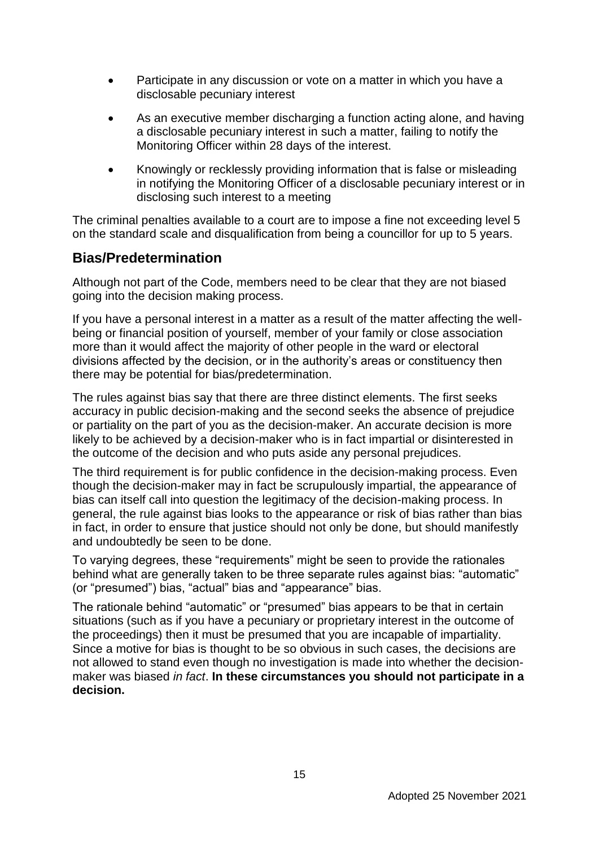- Participate in any discussion or vote on a matter in which you have a disclosable pecuniary interest
- As an executive member discharging a function acting alone, and having a disclosable pecuniary interest in such a matter, failing to notify the Monitoring Officer within 28 days of the interest.
- Knowingly or recklessly providing information that is false or misleading in notifying the Monitoring Officer of a disclosable pecuniary interest or in disclosing such interest to a meeting

The criminal penalties available to a court are to impose a fine not exceeding level 5 on the standard scale and disqualification from being a councillor for up to 5 years.

### **Bias/Predetermination**

Although not part of the Code, members need to be clear that they are not biased going into the decision making process.

If you have a personal interest in a matter as a result of the matter affecting the wellbeing or financial position of yourself, member of your family or close association more than it would affect the majority of other people in the ward or electoral divisions affected by the decision, or in the authority's areas or constituency then there may be potential for bias/predetermination.

The rules against bias say that there are three distinct elements. The first seeks accuracy in public decision-making and the second seeks the absence of prejudice or partiality on the part of you as the decision-maker. An accurate decision is more likely to be achieved by a decision-maker who is in fact impartial or disinterested in the outcome of the decision and who puts aside any personal prejudices.

The third requirement is for public confidence in the decision-making process. Even though the decision-maker may in fact be scrupulously impartial, the appearance of bias can itself call into question the legitimacy of the decision-making process. In general, the rule against bias looks to the appearance or risk of bias rather than bias in fact, in order to ensure that justice should not only be done, but should manifestly and undoubtedly be seen to be done.

To varying degrees, these "requirements" might be seen to provide the rationales behind what are generally taken to be three separate rules against bias: "automatic" (or "presumed") bias, "actual" bias and "appearance" bias.

The rationale behind "automatic" or "presumed" bias appears to be that in certain situations (such as if you have a pecuniary or proprietary interest in the outcome of the proceedings) then it must be presumed that you are incapable of impartiality. Since a motive for bias is thought to be so obvious in such cases, the decisions are not allowed to stand even though no investigation is made into whether the decisionmaker was biased *in fact*. **In these circumstances you should not participate in a decision.**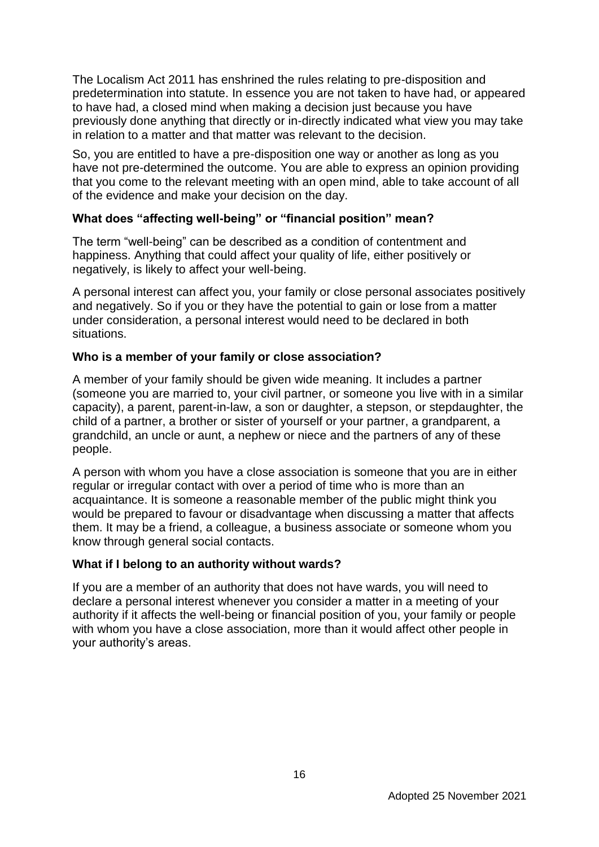The Localism Act 2011 has enshrined the rules relating to pre-disposition and predetermination into statute. In essence you are not taken to have had, or appeared to have had, a closed mind when making a decision just because you have previously done anything that directly or in-directly indicated what view you may take in relation to a matter and that matter was relevant to the decision.

So, you are entitled to have a pre-disposition one way or another as long as you have not pre-determined the outcome. You are able to express an opinion providing that you come to the relevant meeting with an open mind, able to take account of all of the evidence and make your decision on the day.

### **What does "affecting well-being" or "financial position" mean?**

The term "well-being" can be described as a condition of contentment and happiness. Anything that could affect your quality of life, either positively or negatively, is likely to affect your well-being.

A personal interest can affect you, your family or close personal associates positively and negatively. So if you or they have the potential to gain or lose from a matter under consideration, a personal interest would need to be declared in both situations.

### **Who is a member of your family or close association?**

A member of your family should be given wide meaning. It includes a partner (someone you are married to, your civil partner, or someone you live with in a similar capacity), a parent, parent-in-law, a son or daughter, a stepson, or stepdaughter, the child of a partner, a brother or sister of yourself or your partner, a grandparent, a grandchild, an uncle or aunt, a nephew or niece and the partners of any of these people.

A person with whom you have a close association is someone that you are in either regular or irregular contact with over a period of time who is more than an acquaintance. It is someone a reasonable member of the public might think you would be prepared to favour or disadvantage when discussing a matter that affects them. It may be a friend, a colleague, a business associate or someone whom you know through general social contacts.

### **What if I belong to an authority without wards?**

If you are a member of an authority that does not have wards, you will need to declare a personal interest whenever you consider a matter in a meeting of your authority if it affects the well-being or financial position of you, your family or people with whom you have a close association, more than it would affect other people in your authority's areas.